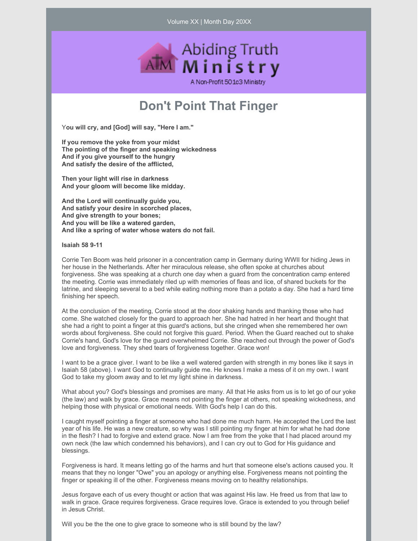Volume XX | Month Day 20XX



# **Don't Point That Finger**

Y**ou will cry, and [God] will say, "Here I am."**

**If you remove the yoke from your midst The pointing of the finger and speaking wickedness And if you give yourself to the hungry And satisfy the desire of the afflicted,**

**Then your light will rise in darkness And your gloom will become like midday.**

**And the Lord will continually guide you, And satisfy your desire in scorched places, And give strength to your bones; And you will be like a watered garden, And like a spring of water whose waters do not fail.**

**Isaiah 58 9-11**

Corrie Ten Boom was held prisoner in a concentration camp in Germany during WWII for hiding Jews in her house in the Netherlands. After her miraculous release, she often spoke at churches about forgiveness. She was speaking at a church one day when a guard from the concentration camp entered the meeting. Corrie was immediately riled up with memories of fleas and lice, of shared buckets for the latrine, and sleeping several to a bed while eating nothing more than a potato a day. She had a hard time finishing her speech.

At the conclusion of the meeting, Corrie stood at the door shaking hands and thanking those who had come. She watched closely for the guard to approach her. She had hatred in her heart and thought that she had a right to point a finger at this guard's actions, but she cringed when she remembered her own words about forgiveness. She could not forgive this guard. Period. When the Guard reached out to shake Corrie's hand, God's love for the guard overwhelmed Corrie. She reached out through the power of God's love and forgiveness. They shed tears of forgiveness together. Grace won!

I want to be a grace giver. I want to be like a well watered garden with strength in my bones like it says in Isaiah 58 (above). I want God to continually guide me. He knows I make a mess of it on my own. I want God to take my gloom away and to let my light shine in darkness.

What about you? God's blessings and promises are many. All that He asks from us is to let go of our yoke (the law) and walk by grace. Grace means not pointing the finger at others, not speaking wickedness, and helping those with physical or emotional needs. With God's help I can do this.

I caught myself pointing a finger at someone who had done me much harm. He accepted the Lord the last year of his life. He was a new creature, so why was I still pointing my finger at him for what he had done in the flesh? I had to forgive and extend grace. Now I am free from the yoke that I had placed around my own neck (the law which condemned his behaviors), and I can cry out to God for His guidance and blessings.

Forgiveness is hard. It means letting go of the harms and hurt that someone else's actions caused you. It means that they no longer "Owe" you an apology or anything else. Forgiveness means not pointing the finger or speaking ill of the other. Forgiveness means moving on to healthy relationships.

Jesus forgave each of us every thought or action that was against His law. He freed us from that law to walk in grace. Grace requires forgiveness. Grace requires love. Grace is extended to you through belief in Jesus Christ.

Will you be the the one to give grace to someone who is still bound by the law?